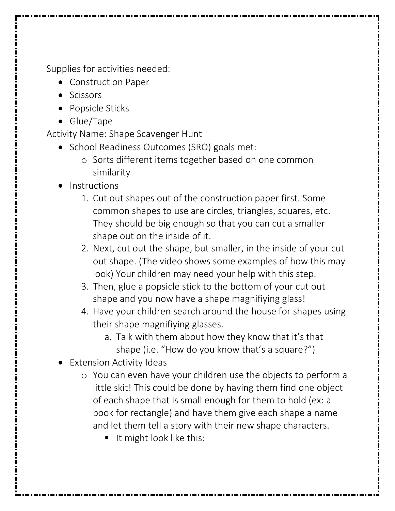Supplies for activities needed:

- Construction Paper
- Scissors
- Popsicle Sticks
- Glue/Tape

Activity Name: Shape Scavenger Hunt

- School Readiness Outcomes (SRO) goals met:
	- o Sorts different items together based on one common similarity
- **Instructions** 
	- 1. Cut out shapes out of the construction paper first. Some common shapes to use are circles, triangles, squares, etc. They should be big enough so that you can cut a smaller shape out on the inside of it.
	- 2. Next, cut out the shape, but smaller, in the inside of your cut out shape. (The video shows some examples of how this may look) Your children may need your help with this step.
	- 3. Then, glue a popsicle stick to the bottom of your cut out shape and you now have a shape magnifiying glass!
	- 4. Have your children search around the house for shapes using their shape magnifiying glasses.
		- a. Talk with them about how they know that it's that shape (i.e. "How do you know that's a square?")
- **Extension Activity Ideas** 
	- o You can even have your children use the objects to perform a little skit! This could be done by having them find one object of each shape that is small enough for them to hold (ex: a book for rectangle) and have them give each shape a name and let them tell a story with their new shape characters.
		- It might look like this: